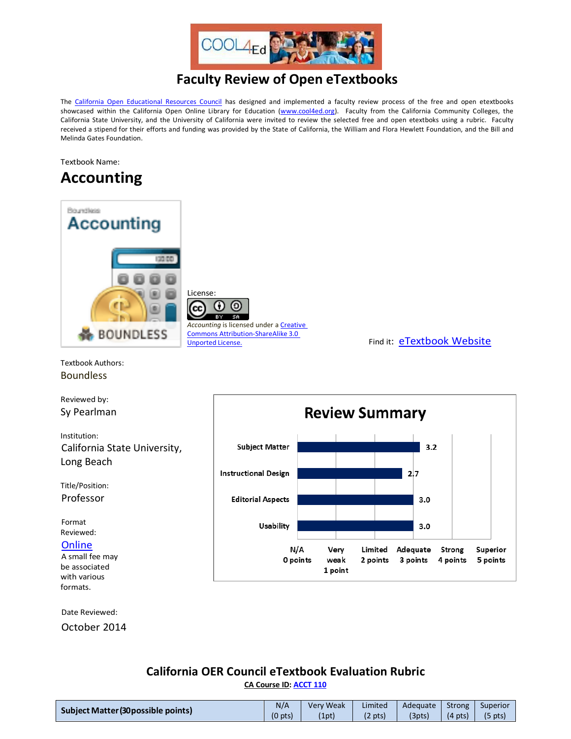

## **Faculty Review of Open eTextbooks**

The [California Open Educational Resources Council](http://icas-ca.org/coerc) has designed and implemented a faculty review process of the free and open etextbooks showcased within the California Open Online Library for Education [\(www.cool4ed.org\)](http://www.cool4ed.org/). Faculty from the California Community Colleges, the California State University, and the University of California were invited to review the selected free and open etextboks using a rubric. Faculty received a stipend for their efforts and funding was provided by the State of California, the William and Flora Hewlett Foundation, and the Bill and Melinda Gates Foundation.

Textbook Name:

Textbook Authors: **Boundless** 





 $\odot$  $\odot$ cc  $\overline{\mathbf{R}}$ **SR** Accounting is licensed under a **Creative** Commons Attribution-ShareAlike 3.0<br>Unported License.

Find it: [eTextbook Website](https://www.boundless.com/accounting/textbooks/boundless-accounting-textbook/)

Reviewed by: **Review Summary** Sy Pearlman Institution: **Subject Matter**  $3.2$ California State University, Long Beach **Instructional Design**  $2.7$ Title/Position: Professor **Editorial Aspects**  $3.0$ Format **Usability**  $3.0$ Reviewed: **[Online](https://www.boundless.com/accounting/textbooks/boundless-accounting-textbook/)**  $N/A$ Very Limited Adequate **Strong** Superior A small fee may 0 points weak 2 points 3 points 4 points 5 points be associated 1 point with various

Date Reviewed:

formats.

October 2014

## **California OER Council eTextbook Evaluation Rubric**

**[CA Course ID:](https://c-id.net/about.html) [ACCT 110](https://c-id.net/descriptor_details.html?descriptor=239&submitbtn=Go)**

| <b>Subject Matter (30 possible points)</b> | N/A                 | <b>Very Weak</b> | Limited           | Adequate | Strong            | Superior          |
|--------------------------------------------|---------------------|------------------|-------------------|----------|-------------------|-------------------|
|                                            | (0 <sub>pts</sub> ) | (1pt)            | $(2 \text{ pts})$ | (3pts)   | $(4 \text{ pts})$ | $(5 \text{ pts})$ |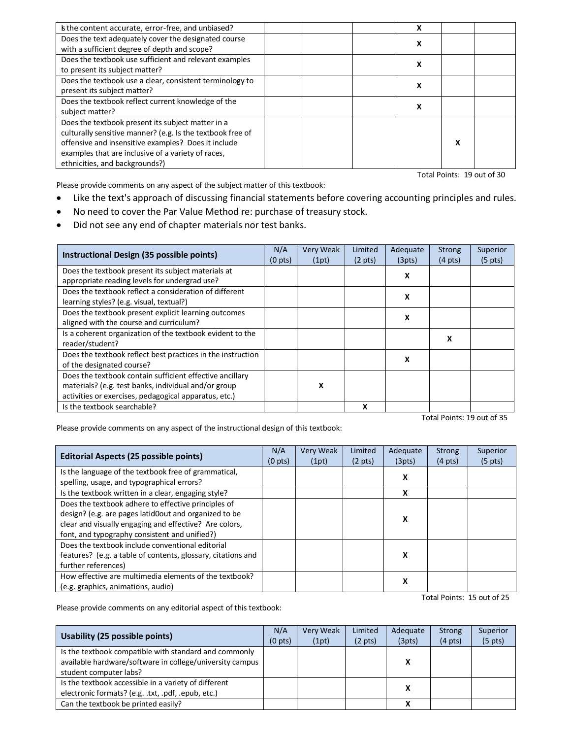| is the content accurate, error-free, and unbiased?         |  |   |   |  |  |  |
|------------------------------------------------------------|--|---|---|--|--|--|
| Does the text adequately cover the designated course       |  |   |   |  |  |  |
| with a sufficient degree of depth and scope?               |  |   |   |  |  |  |
| Does the textbook use sufficient and relevant examples     |  | x |   |  |  |  |
| to present its subject matter?                             |  |   |   |  |  |  |
| Does the textbook use a clear, consistent terminology to   |  | x |   |  |  |  |
| present its subject matter?                                |  |   |   |  |  |  |
| Does the textbook reflect current knowledge of the         |  |   |   |  |  |  |
| subject matter?                                            |  |   |   |  |  |  |
| Does the textbook present its subject matter in a          |  |   |   |  |  |  |
| culturally sensitive manner? (e.g. Is the textbook free of |  |   |   |  |  |  |
| offensive and insensitive examples? Does it include        |  |   | x |  |  |  |
| examples that are inclusive of a variety of races,         |  |   |   |  |  |  |
| ethnicities, and backgrounds?)                             |  |   |   |  |  |  |
| Total Points: 19 out of 30                                 |  |   |   |  |  |  |

Please provide comments on any aspect of the subject matter of this textbook:

- Like the text's approach of discussing financial statements before covering accounting principles and rules.
- No need to cover the Par Value Method re: purchase of treasury stock.
- Did not see any end of chapter materials nor test banks.

| Instructional Design (35 possible points)                   | N/A<br>(0 <sub>pts</sub> ) | Very Weak<br>(1pt) | Limited<br>$(2 \text{ pts})$ | Adequate<br>(3pts) | <b>Strong</b><br>$(4 \text{ pts})$ | Superior<br>$(5 \text{ pts})$ |
|-------------------------------------------------------------|----------------------------|--------------------|------------------------------|--------------------|------------------------------------|-------------------------------|
| Does the textbook present its subject materials at          |                            |                    |                              | x                  |                                    |                               |
| appropriate reading levels for undergrad use?               |                            |                    |                              |                    |                                    |                               |
| Does the textbook reflect a consideration of different      |                            |                    |                              | x                  |                                    |                               |
| learning styles? (e.g. visual, textual?)                    |                            |                    |                              |                    |                                    |                               |
| Does the textbook present explicit learning outcomes        |                            |                    |                              | x                  |                                    |                               |
| aligned with the course and curriculum?                     |                            |                    |                              |                    |                                    |                               |
| Is a coherent organization of the textbook evident to the   |                            |                    |                              |                    | x                                  |                               |
| reader/student?                                             |                            |                    |                              |                    |                                    |                               |
| Does the textbook reflect best practices in the instruction |                            |                    |                              | x                  |                                    |                               |
| of the designated course?                                   |                            |                    |                              |                    |                                    |                               |
| Does the textbook contain sufficient effective ancillary    |                            |                    |                              |                    |                                    |                               |
| materials? (e.g. test banks, individual and/or group        |                            | x                  |                              |                    |                                    |                               |
| activities or exercises, pedagogical apparatus, etc.)       |                            |                    |                              |                    |                                    |                               |
| Is the textbook searchable?                                 |                            |                    | x                            |                    |                                    |                               |

Please provide comments on any aspect of the instructional design of this textbook:

Total Points: 19 out of 35

| <b>Editorial Aspects (25 possible points)</b>                | N/A               | <b>Very Weak</b> | Limited           | Adequate | Strong            | Superior          |
|--------------------------------------------------------------|-------------------|------------------|-------------------|----------|-------------------|-------------------|
|                                                              | $(0 \text{ pts})$ | (1pt)            | $(2 \text{ pts})$ | (3pts)   | $(4 \text{ pts})$ | $(5 \text{ pts})$ |
| Is the language of the textbook free of grammatical,         |                   |                  |                   | x        |                   |                   |
| spelling, usage, and typographical errors?                   |                   |                  |                   |          |                   |                   |
| Is the textbook written in a clear, engaging style?          |                   |                  |                   | x        |                   |                   |
| Does the textbook adhere to effective principles of          |                   |                  |                   |          |                   |                   |
| design? (e.g. are pages latid0out and organized to be        | X                 |                  |                   |          |                   |                   |
| clear and visually engaging and effective? Are colors,       |                   |                  |                   |          |                   |                   |
| font, and typography consistent and unified?)                |                   |                  |                   |          |                   |                   |
| Does the textbook include conventional editorial             |                   |                  |                   |          |                   |                   |
| features? (e.g. a table of contents, glossary, citations and |                   |                  |                   | x        |                   |                   |
| further references)                                          |                   |                  |                   |          |                   |                   |
| How effective are multimedia elements of the textbook?       |                   |                  |                   |          |                   |                   |
| (e.g. graphics, animations, audio)                           |                   |                  |                   | X        |                   |                   |

Total Points: 15 out of 25

Please provide comments on any editorial aspect of this textbook:

| Usability (25 possible points)                           |                     | <b>Very Weak</b> | Limited           | Adequate | <b>Strong</b>     | Superior          |
|----------------------------------------------------------|---------------------|------------------|-------------------|----------|-------------------|-------------------|
|                                                          | (0 <sub>pts</sub> ) | (1pt)            | $(2 \text{ pts})$ | (3pts)   | $(4 \text{ pts})$ | $(5 \text{ pts})$ |
| Is the textbook compatible with standard and commonly    |                     |                  |                   |          |                   |                   |
| available hardware/software in college/university campus |                     |                  |                   |          |                   |                   |
| student computer labs?                                   |                     |                  |                   |          |                   |                   |
| Is the textbook accessible in a variety of different     |                     |                  |                   |          |                   |                   |
| electronic formats? (e.g. .txt, .pdf, .epub, etc.)       |                     |                  |                   | Λ        |                   |                   |
| Can the textbook be printed easily?                      |                     |                  |                   | v        |                   |                   |